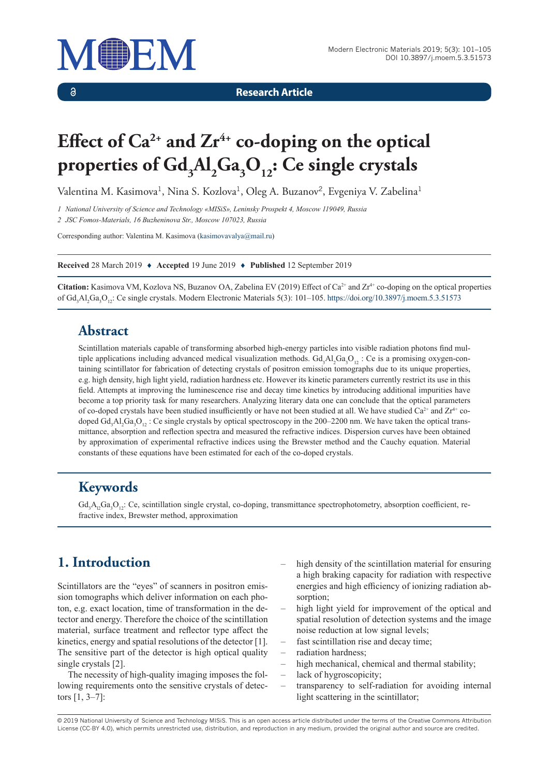

 $\delta$ 

**Research Article**

# Effect of Ca<sup>2+</sup> and Zr<sup>4+</sup> co-doping on the optical properties of  $\text{Gd}_{_{3}}\text{Al}_{_{2}}\text{Ga}_{_{3}}\text{O}_{_{12}}$ : Ce single crystals

Valentina M. Kasimova<sup>1</sup>, Nina S. Kozlova<sup>1</sup>, Oleg A. Buzanov<sup>2</sup>, Evgeniya V. Zabelina<sup>1</sup>

*1 National University of Science and Technology «MISiS», Leninsky Prospekt 4, Moscow 119049, Russia*

*2 JSC Fomos-Materials, 16 Buzheninova Str., Moscow 107023, Russia*

Corresponding author: Valentina M. Kasimova ([kasimovavalya@mail.ru](mailto:kasimovavalya@mail.ru))

**Received** 28 March 2019 ♦ **Accepted** 19 June 2019 ♦ **Published** 12 September 2019

Citation: Kasimova VM, Kozlova NS, Buzanov OA, Zabelina EV (2019) Effect of Ca<sup>2+</sup> and Zr<sup>4+</sup> co-doping on the optical properties of Gd<sub>3</sub>Al<sub>2</sub>Ga<sub>3</sub>O<sub>12</sub>: Ce single crystals. Modern Electronic Materials 5(3): 101–105.<https://doi.org/10.3897/j.moem.5.3.51573>

#### **Abstract**

Scintillation materials capable of transforming absorbed high-energy particles into visible radiation photons find multiple applications including advanced medical visualization methods.  $Gd_3Al_2Ga_3O_{12}$ : Ce is a promising oxygen-containing sсintillator for fabrication of detecting crystals of positron emission tomographs due to its unique properties, e.g. high density, high light yield, radiation hardness etc. However its kinetic parameters currently restrict its use in this field. Attempts at improving the luminescence rise and decay time kinetics by introducing additional impurities have become a top priority task for many researchers. Analyzing literary data one can conclude that the optical parameters of co-doped crystals have been studied insufficiently or have not been studied at all. We have studied  $Ca<sup>2+</sup>$  and  $Zr<sup>4+</sup>$  codoped  $Gd_3Al_2Ga_3O_{12}$ : Ce single crystals by optical spectroscopy in the 200–2200 nm. We have taken the optical transmittance, absorption and reflection spectra and measured the refractive indices. Dispersion curves have been obtained by approximation of experimental refractive indices using the Brewster method and the Cauchy equation. Material constants of these equations have been estimated for each of the co-doped crystals.

## **Keywords**

 $Gd_3A_1Ga_3O_{12}$ : Ce, scintillation single crystal, co-doping, transmittance spectrophotometry, absorption coefficient, refractive index, Brewster method, approximation

# **1. Introduction**

Scintillators are the "eyes" of scanners in positron emission tomographs which deliver information on each photon, e.g. exact location, time of transformation in the detector and energy. Therefore the choice of the scintillation material, surface treatment and reflector type affect the kinetics, energy and spatial resolutions of the detector [1]. The sensitive part of the detector is high optical quality single crystals [2].

The necessity of high-quality imaging imposes the following requirements onto the sensitive crystals of detectors [1, 3–7]:

- high density of the scintillation material for ensuring a high braking capacity for radiation with respective energies and high efficiency of ionizing radiation absorption;
- high light yield for improvement of the optical and spatial resolution of detection systems and the image noise reduction at low signal levels;
- fast scintillation rise and decay time;
- radiation hardness;
- high mechanical, chemical and thermal stability;
- lack of hygroscopicity;
- transparency to self-radiation for avoiding internal light scattering in the scintillator;

© 2019 National University of Science and Technology MISiS*.* This is an open access article distributed under the terms of the Creative Commons Attribution License (CC-BY 4.0), which permits unrestricted use, distribution, and reproduction in any medium, provided the original author and source are credited.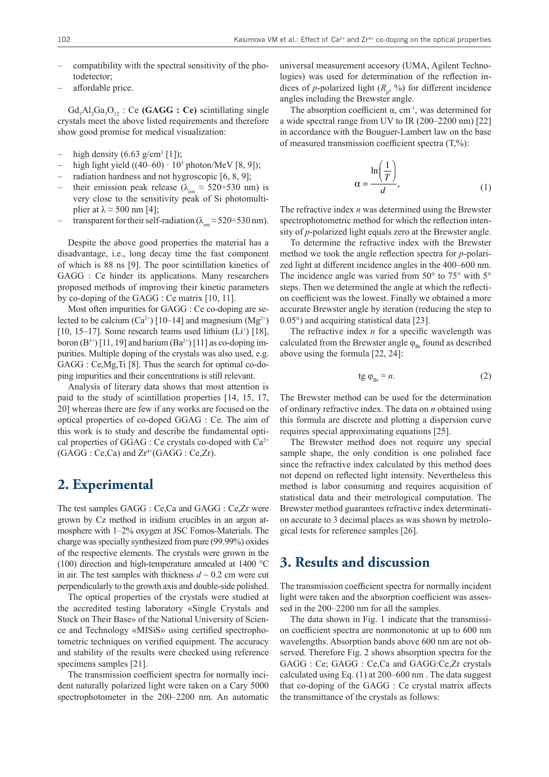- compatibility with the spectral sensitivity of the photodetector;
- affordable price.

Gd<sub>3</sub>Al<sub>2</sub>Ga<sub>3</sub>O<sub>12</sub>: Ce (GAGG: Ce) scintillating single crystals meet the above listed requirements and therefore show good promise for medical visualization:

- high density  $(6.63 \text{ g/cm}^3 [1])$ ;
- $-$  high light yield  $((40-60) \cdot 10^3$  photon/MeV [8, 9]);
- radiation hardness and not hygroscopic [6, 8, 9];
- their emission peak release ( $\lambda_{\text{em}} \approx 520 \div 530$  nm) is very close to the sensitivity peak of Si photomultiplier at  $\lambda \approx 500$  nm [4];
- transparent for their self-radiation ( $\lambda_{em} \approx 520 \div 530$  nm).

Despite the above good properties the material has a disadvantage, i.e., long decay time the fast component of which is 88 ns [9]. The poor scintillation kinetics of GAGG : Ce hinder its applications. Many researchers proposed methods of improving their kinetic parameters by co-doping of the GAGG : Ce matrix [10, 11].

Most often impurities for GAGG : Ce co-doping are selected to be calcium (Ca<sup>2+</sup>) [10–14] and magnesium (Mg<sup>2+</sup>) [10, 15–17]. Some research teams used lithium  $(L<sup>+</sup>)$  [18], boron  $(B^{3+})$  [11, 19] and barium  $(Ba^{2+})$  [11] as co-doping impurities. Multiple doping of the crystals was also used, e.g. GAGG : Ce,Mg,Ti [8]. Thus the search for optimal co-doping impurities and their concentrations is still relevant.

Analysis of literary data shows that most attention is paid to the study of scintillation properties [14, 15, 17, 20] whereas there are few if any works are focused on the optical properties of co-doped GGAG : Се. The aim of this work is to study and describe the fundamental optical properties of GGAG : Ce crystals co-doped with  $Ca^{2+}$  $(GAGG : Ce, Ca)$  and  $Zr^{4+}(GAGG : Ce, Zr)$ .

#### **2. Experimental**

The test samples GAGG : Ce,Ca and GAGG : Ce,Zr were grown by Cz method in iridium crucibles in an argon atmosphere with 1–2% oxygen at JSC Fomos-Materials. The charge was specially synthesized from pure (99.99%) oxides of the respective elements. The crystals were grown in the (100) direction and high-temperature annealed at 1400 °C in air. The test samples with thickness  $d \sim 0.2$  cm were cut perpendicularly to the growth axis and double-side polished.

The optical properties of the crystals were studied at the accredited testing laboratory «Single Crystals and Stock on Their Base» of the National University of Science and Technology «MISiS» using certified spectrophotometric techniques on verified equipment. The accuracy and stability of the results were checked using reference specimens samples [21].

The transmission coefficient spectra for normally incident naturally polarized light were taken on a Cary 5000 spectrophotometer in the 200–2200 nm. An automatic universal measurement accesory (UMA, Agilent Technologies) was used for determination of the reflection indices of *p*-polarized light  $(R_p, %)$  for different incidence angles including the Brewster angle.

The absorption coefficient  $\alpha$ , cm<sup>-1</sup>, was determined for a wide spectral range from UV to IR (200–2200 nm) [22] in accordance with the Bouguer-Lambert law on the base of measured transmission coefficient spectra (T,%):

$$
\alpha = \frac{\ln\left(\frac{1}{T}\right)}{d},\tag{1}
$$

The refractive index *n* was determined using the Brewster spectrophotometric method for which the reflection intensity of *p*-polarized light equals zero at the Brewster angle.

To determine the refractive index with the Brewster method we took the angle reflection spectra for *p*-polarized light at different incidence angles in the 400–600 nm. The incidence angle was varied from  $50^{\circ}$  to  $75^{\circ}$  with  $5^{\circ}$ steps. Then we determined the angle at which the reflection coefficient was the lowest. Finally we obtained a more accurate Brewster angle by iteration (reducing the step to 0.05°) and acquiring statistical data [23].

The refractive index *n* for a specific wavelength was calculated from the Brewster angle  $\varphi_{Br}$  found as described above using the formula [22, 24]:

$$
\text{tg } \varphi_{\text{Br}} = n. \tag{2}
$$

The Brewster method can be used for the determination of ordinary refractive index. The data on *n* obtained using this formula are discrete and plotting a dispersion curve requires special approximating equations [25].

The Brewster method does not require any special sample shape, the only condition is one polished face since the refractive index calculated by this method does not depend on reflected light intensity. Nevertheless this method is labor consuming and requires acquisition of statistical data and their metrological computation. The Brewster method guarantees refractive index determination accurate to 3 decimal places as was shown by metrological tests for reference samples [26].

#### **3. Results and discussion**

The transmission coefficient spectra for normally incident light were taken and the absorption coefficient was assessed in the 200–2200 nm for all the samples.

The data shown in Fig. 1 indicate that the transmission coefficient spectra are nonmonotonic at up to 600 nm wavelengths. Absorption bands above 600 nm are not observed. Therefore Fig. 2 shows absorption spectra for the GAGG : Ce; GAGG : Ce,Ca and GAGG:Ce,Zr crystals calculated using Eq. (1) at 200–600 nm . The data suggest that co-doping of the GAGG : Ce crystal matrix affects the transmittance of the crystals as follows: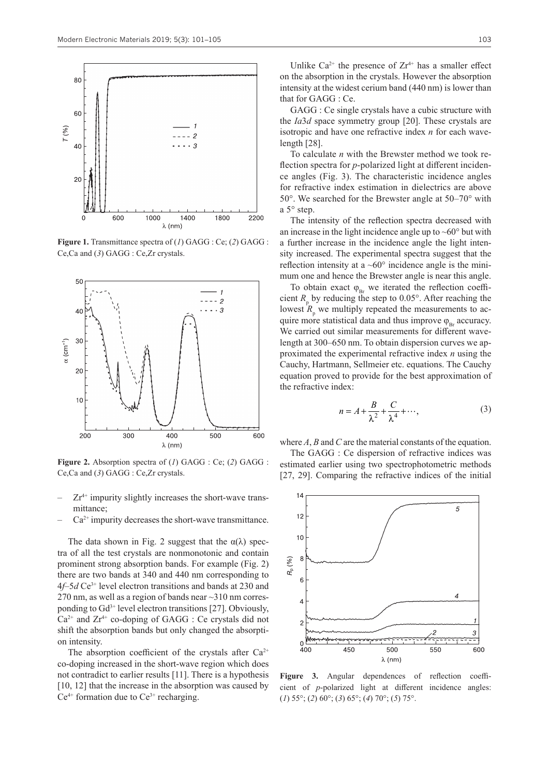

**Figure 1.** Transmittance spectra of (*1*) GAGG : Ce; (*2*) GAGG : Ce,Ca and (*3*) GAGG : Ce,Zr crystals.



**Figure 2.** Absorption spectra of (*1*) GAGG : Ce; (*2*) GAGG : Ce,Ca and (*3*) GAGG : Ce,Zr crystals.

- $Zr^{4+}$  impurity slightly increases the short-wave transmittance;
- $Ca<sup>2+</sup>$  impurity decreases the short-wave transmittance.

The data shown in Fig. 2 suggest that the  $\alpha(\lambda)$  spectra of all the test crystals are nonmonotonic and contain prominent strong absorption bands. For example (Fig. 2) there are two bands at 340 and 440 nm corresponding to 4*f*–5*d* Ce3+ level electron transitions and bands at 230 and 270 nm, as well as a region of bands near  $\sim$ 310 nm corresponding to  $Gd^{3+}$  level electron transitions [27]. Obviously,  $Ca^{2+}$  and  $Zr^{4+}$  co-doping of GAGG : Ce crystals did not shift the absorption bands but only changed the absorption intensity.

The absorption coefficient of the crystals after  $Ca^{2+}$ co-doping increased in the short-wave region which does not contradict to earlier results [11]. There is a hypothesis [10, 12] that the increase in the absorption was caused by  $Ce<sup>4+</sup>$  formation due to  $Ce<sup>3+</sup>$  recharging.

Unlike  $Ca^{2+}$  the presence of  $Zr^{4+}$  has a smaller effect on the absorption in the crystals. However the absorption intensity at the widest cerium band (440 nm) is lower than that for GAGG : Ce.

GAGG : Ce single crystals have a cubic structure with the *Ia*3*d* space symmetry group [20]. These crystals are isotropic and have one refractive index *n* for each wavelength [28].

To calculate *n* with the Brewster method we took reflection spectra for *p*-polarized light at different incidence angles (Fig. 3). The characteristic incidence angles for refractive index estimation in dielectrics are above 50°. We searched for the Brewster angle at 50–70° with a 5° step.

The intensity of the reflection spectra decreased with an increase in the light incidence angle up to  $\sim 60^\circ$  but with a further increase in the incidence angle the light intensity increased. The experimental spectra suggest that the reflection intensity at a  $~60^\circ$  incidence angle is the minimum one and hence the Brewster angle is near this angle.

To obtain exact  $\varphi_{\text{B}_{r}}$  we iterated the reflection coefficient  $R$ <sub>p</sub> by reducing the step to 0.05°. After reaching the lowest  $R$ <sub>p</sub> we multiply repeated the measurements to acquire more statistical data and thus improve  $\varphi_{B_r}$  accuracy. We carried out similar measurements for different wavelength at 300–650 nm. To obtain dispersion curves we approximated the experimental refractive index *n* using the Cauchy, Hartmann, Sellmeier etc. equations. The Cauchy equation proved to provide for the best approximation of the refractive index:

$$
n = A + \frac{B}{\lambda^2} + \frac{C}{\lambda^4} + \cdots,
$$
 (3)

where *A*, *B* and *C* are the material constants of the equation.

The GAGG : Ce dispersion of refractive indices was estimated earlier using two spectrophotometric methods [27, 29]. Comparing the refractive indices of the initial



**Figure 3.** Angular dependences of reflection coefficient of *p*-polarized light at different incidence angles: (*1*) 55°; (*2*) 60°; (*3*) 65°; (*4*) 70°; (*5*) 75°.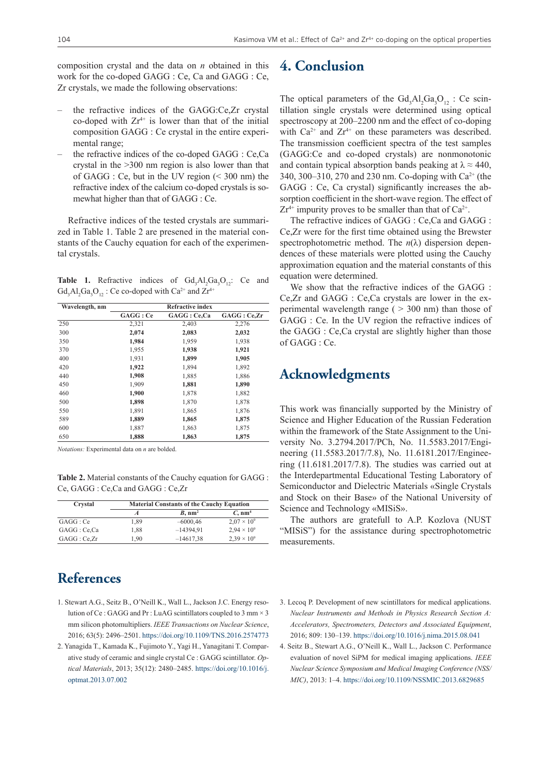composition crystal and the data on *n* obtained in this work for the co-doped GAGG : Ce, Ca and GAGG : Ce, Zr crystals, we made the following observations:

- the refractive indices of the GAGG:Ce,Zr crystal co-doped with  $Zr^{4+}$  is lower than that of the initial composition GAGG : Ce crystal in the entire experimental range;
- the refractive indices of the co-doped GAGG : Ce,Ca crystal in the >300 nm region is also lower than that of GAGG : Ce, but in the UV region (< 300 nm) the refractive index of the calcium co-doped crystals is somewhat higher than that of GAGG : Ce.

Refractive indices of the tested crystals are summarized in Table 1. Table 2 are presened in the material constants of the Cauchy equation for each of the experimental crystals.

**Table 1.** Refractive indices of  $Gd_3Al_2Ga_3O_{12}$ : Ce and  $Gd_3Al_2Ga_3O_{12}$ : Ce co-doped with Ca<sup>2+</sup> and Zr<sup>4+</sup>

| Wavelength, nm | <b>Refractive index</b> |              |            |
|----------------|-------------------------|--------------|------------|
|                | GAGG: Ce                | GAGG : Ce,Ca | GAGG:Ce,Zr |
| 250            | 2,321                   | 2,403        | 2,276      |
| 300            | 2,074                   | 2,083        | 2,032      |
| 350            | 1,984                   | 1,959        | 1,938      |
| 370            | 1,955                   | 1,938        | 1,921      |
| 400            | 1,931                   | 1,899        | 1,905      |
| 420            | 1,922                   | 1,894        | 1,892      |
| 440            | 1,908                   | 1,885        | 1,886      |
| 450            | 1,909                   | 1,881        | 1,890      |
| 460            | 1,900                   | 1,878        | 1,882      |
| 500            | 1,898                   | 1,870        | 1,878      |
| 550            | 1,891                   | 1,865        | 1,876      |
| 589            | 1,889                   | 1,865        | 1,875      |
| 600            | 1,887                   | 1,863        | 1,875      |
| 650            | 1,888                   | 1,863        | 1,875      |

*Notations:* Experimental data on *n* are bolded.

**Table 2.** Material constants of the Cauchy equation for GAGG : Ce, GAGG : Ce,Ca and GAGG : Ce,Zr

| Crystal      | <b>Material Constants of the Cauchy Equation</b> |                     |                       |
|--------------|--------------------------------------------------|---------------------|-----------------------|
|              | A                                                | $B. \, \text{nm}^2$ | $C$ , nm <sup>4</sup> |
| GAGG:Ce      | 1.89                                             | $-6000.46$          | $2.07 \times 10^{9}$  |
| GAGG : Ce,Ca | 1.88                                             | $-14394,91$         | $2.94 \times 10^{9}$  |
| GAGG:Ce,Zr   | 1.90                                             | $-14617,38$         | $2.39 \times 10^{9}$  |

## **References**

- 1. Stewart A.G., Seitz B., O'Neill K., Wall L., Jackson J.C. Energy resolution of Ce : GAGG and Pr : LuAG scintillators coupled to 3 mm × 3 mm silicon photomultipliers. *IEEE Transactions on Nuclear Science*, 2016; 63(5): 2496–2501.<https://doi.org/10.1109/TNS.2016.2574773>
- 2. Yanagida T., Kamada K., Fujimoto Y., Yagi H., Yanagitani T. Comparative study of ceramic and single crystal Ce : GAGG scintillator. *Optical Materials*, 2013; 35(12): 2480–2485. [https://doi.org/10.1016/j.](https://doi.org/10.1016/j.optmat.2013.07.002) [optmat.2013.07.002](https://doi.org/10.1016/j.optmat.2013.07.002)

#### **4. Conclusion**

The optical parameters of the  $Gd_3Al_2Ga_3O_{12}$ : Ce scintillation single crystals were determined using optical spectroscopy at 200–2200 nm and the effect of co-doping with  $Ca^{2+}$  and  $Zr^{4+}$  on these parameters was described. The transmission coefficient spectra of the test samples (GAGG:Ce and co-doped crystals) are nonmonotonic and contain typical absorption bands peaking at  $\lambda \approx 440$ , 340, 300–310, 270 and 230 nm. Co-doping with Ca2+ (the GAGG : Ce, Ca crystal) significantly increases the absorption coefficient in the short-wave region. The effect of  $Zr^{4+}$  impurity proves to be smaller than that of  $Ca^{2+}$ .

The refractive indices of GAGG : Ce,Ca and GAGG : Ce,Zr were for the first time obtained using the Brewster spectrophotometric method. The *n*(λ) dispersion dependences of these materials were plotted using the Cauchy approximation equation and the material constants of this equation were determined.

We show that the refractive indices of the GAGG : Ce,Zr and GAGG : Ce,Ca crystals are lower in the experimental wavelength range ( $> 300$  nm) than those of GAGG : Ce. In the UV region the refractive indices of the GAGG : Ce,Ca crystal are slightly higher than those of GAGG : Ce.

#### **Acknowledgments**

This work was financially supported by the Ministry of Science and Higher Education of the Russian Federation within the framework of the State Assignment to the University No. 3.2794.2017/PCh, No. 11.5583.2017/Engineering (11.5583.2017/7.8), No. 11.6181.2017/Engineering (11.6181.2017/7.8). The studies was carried out at the Interdepartmental Educational Testing Laboratory of Semiconductor and Dielectric Materials «Single Crystals and Stock on their Base» of the National University of Science and Technology «MISiS».

The authors are gratefull to A.P. Kozlova (NUST "MISiS") for the assistance during spectrophotometric measurements.

- 3. Lecoq P. Development of new scintillators for medical applications. *Nuclear Instruments and Methods in Physics Research Section A: Accelerators, Spectrometers, Detectors and Associated Equipment*, 2016; 809: 130–139.<https://doi.org/10.1016/j.nima.2015.08.041>
- 4. Seitz B., Stewart A.G., O'Neill K., Wall L., Jackson C. Performance evaluation of novel SiPM for medical imaging applications. *IEEE Nuclear Science Symposium and Medical Imaging Conference (NSS/ MIC)*, 2013: 1–4. <https://doi.org/10.1109/NSSMIC.2013.6829685>